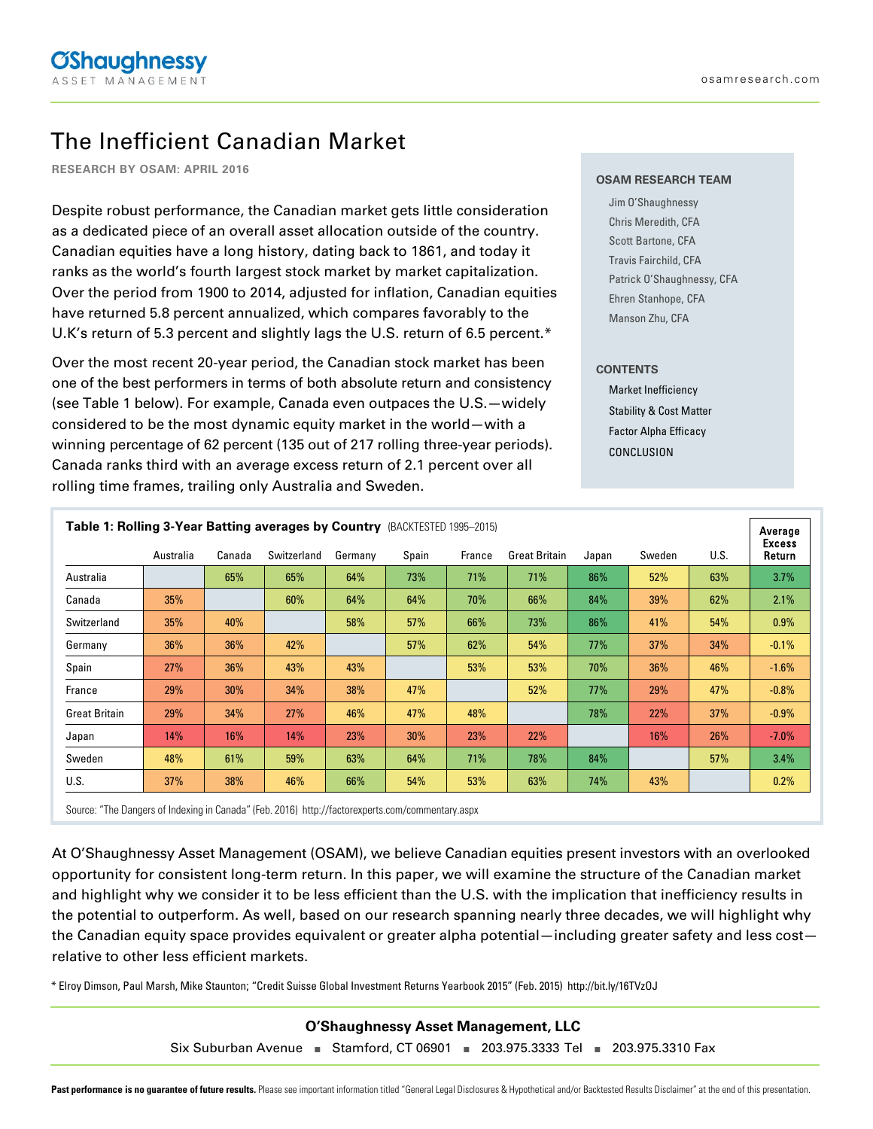# The Inefficient Canadian Market

**RESEARCH BY OSAM: APRIL 2016**

Despite robust performance, the Canadian market gets little consideration as a dedicated piece of an overall asset allocation outside of the country. Canadian equities have a long history, dating back to 1861, and today it ranks as the world's fourth largest stock market by market capitalization. Over the period from 1900 to 2014, adjusted for inflation, Canadian equities have returned 5.8 percent annualized, which compares favorably to the U.K's return of 5.3 percent and slightly lags the U.S. return of 6.5 percent.\*

Over the most recent 20-year period, the Canadian stock market has been one of the best performers in terms of both absolute return and consistency (see Table 1 below). For example, Canada even outpaces the U.S.—widely considered to be the most dynamic equity market in the world—with a winning percentage of 62 percent (135 out of 217 rolling three-year periods). Canada ranks third with an average excess return of 2.1 percent over all rolling time frames, trailing only Australia and Sweden.

#### **OSAM RESEARCH TEAM**

Jim O'Shaughnessy Chris Meredith, CFA Scott Bartone, CFA Travis Fairchild, CFA Patrick O'Shaughnessy, CFA Ehren Stanhope, CFA Manson Zhu, CFA

### **CONTENTS**

Market Inefficiency Stability & Cost Matter Factor Alpha Efficacy CONCLUSION

| <b>Table 1: Rolling 3-Year Batting averages by Country (BACKTESTED 1995-2015)</b> |           |        |             |         |        |        |                      |       |            | Average |                         |  |  |
|-----------------------------------------------------------------------------------|-----------|--------|-------------|---------|--------|--------|----------------------|-------|------------|---------|-------------------------|--|--|
|                                                                                   | Australia | Canada | Switzerland | Germany | Spain  | France | <b>Great Britain</b> | Japan | Sweden     | U.S.    | <b>Excess</b><br>Return |  |  |
| Australia                                                                         |           | 65%    | 65%         | 64%     | 73%    | 71%    | 71%                  | 86%   | 52%        | 63%     | $3.7\%$                 |  |  |
| Canada                                                                            | 35%       |        | 60%         | 64%     | 64%    | 70%    | 66%                  | 84%   | 39%        | 62%     | 2.1%                    |  |  |
| Switzerland                                                                       | 35%       | 40%    |             | 58%     | 57%    | 66%    | 73%                  | 86%   | 41%        | 54%     | $0.9\%$                 |  |  |
| Germany                                                                           | 36%       | 36%    | 42%         |         | 57%    | 62%    | 54%                  | 77%   | 37%        | 34%     | $-0.1\%$                |  |  |
| Spain                                                                             | 27%       | 36%    | 43%         | 43%     |        | 53%    | 53%                  | 70%   | 36%        | 46%     | $-1.6%$                 |  |  |
| France                                                                            | 29%       | 30%    | 34%         | 38%     | 47%    |        | 52%                  | 77%   | 29%        | 47%     | $-0.8\%$                |  |  |
| <b>Great Britain</b>                                                              | 29%       | 34%    | 27%         | 46%     | 47%    | 48%    |                      | 78%   | <b>22%</b> | 37%     | $-0.9%$                 |  |  |
| Japan                                                                             | 14%       | 16%    | 14%         | 23%     | $30\%$ | 23%    | 22%                  |       | 16%        | 26%     | $-7.0\%$                |  |  |
| Sweden                                                                            | 48%       | 61%    | 59%         | 63%     | 64%    | 71%    | 78%                  | 84%   |            | 57%     | 3.4%                    |  |  |
| U.S.                                                                              | 37%       | 38%    | 46%         | 66%     | 54%    | 53%    | 63%                  | 74%   | 43%        |         | 0.2%                    |  |  |

Source: "The Dangers of Indexing in Canada" (Feb. 2016) http://factorexperts.com/commentary.aspx

At O'Shaughnessy Asset Management (OSAM), we believe Canadian equities present investors with an overlooked opportunity for consistent long-term return. In this paper, we will examine the structure of the Canadian market and highlight why we consider it to be less efficient than the U.S. with the implication that inefficiency results in the potential to outperform. As well, based on our research spanning nearly three decades, we will highlight why the Canadian equity space provides equivalent or greater alpha potential—including greater safety and less cost relative to other less efficient markets.

\* Elroy Dimson, Paul Marsh, Mike Staunton; "Credit Suisse Global Investment Returns Yearbook 2015" (Feb. 2015) http://bit.ly/16TVzOJ

**O'Shaughnessy Asset Management, LLC**

Six Suburban Avenue **■** Stamford, CT 06901 **■** 203.975.3333 Tel **■** 203.975.3310 Fax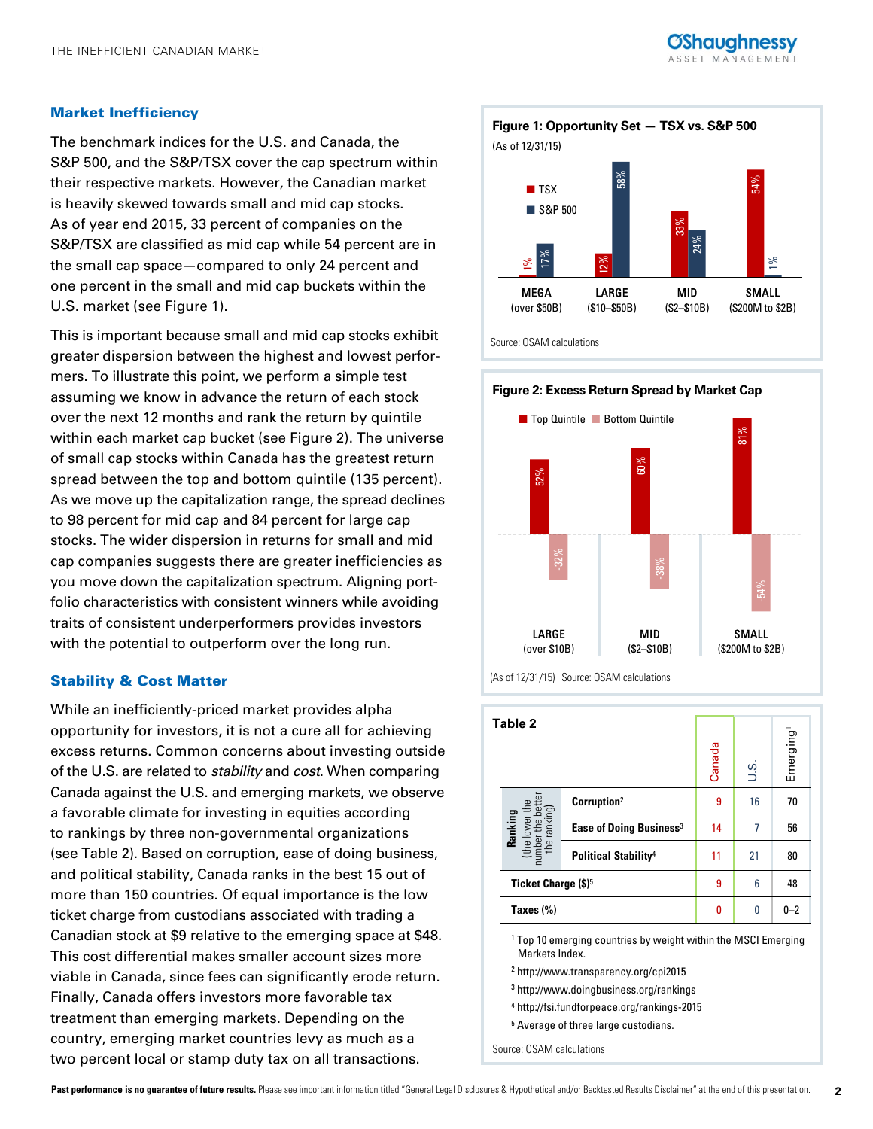

## Market Inefficiency

The benchmark indices for the U.S. and Canada, the S&P 500, and the S&P/TSX cover the cap spectrum within their respective markets. However, the Canadian market is heavily skewed towards small and mid cap stocks. As of year end 2015, 33 percent of companies on the S&P/TSX are classified as mid cap while 54 percent are in the small cap space—compared to only 24 percent and one percent in the small and mid cap buckets within the U.S. market (see Figure 1).

This is important because small and mid cap stocks exhibit greater dispersion between the highest and lowest performers. To illustrate this point, we perform a simple test assuming we know in advance the return of each stock over the next 12 months and rank the return by quintile within each market cap bucket (see Figure 2). The universe of small cap stocks within Canada has the greatest return spread between the top and bottom quintile (135 percent). As we move up the capitalization range, the spread declines to 98 percent for mid cap and 84 percent for large cap stocks. The wider dispersion in returns for small and mid cap companies suggests there are greater inefficiencies as you move down the capitalization spectrum. Aligning portfolio characteristics with consistent winners while avoiding traits of consistent underperformers provides investors with the potential to outperform over the long run.

## Stability & Cost Matter

While an inefficiently-priced market provides alpha opportunity for investors, it is not a cure all for achieving excess returns. Common concerns about investing outside of the U.S. are related to *stability* and *cost*. When comparing Canada against the U.S. and emerging markets, we observe a favorable climate for investing in equities according to rankings by three non-governmental organizations (see Table 2). Based on corruption, ease of doing business, and political stability, Canada ranks in the best 15 out of more than 150 countries. Of equal importance is the low ticket charge from custodians associated with trading a Canadian stock at \$9 relative to the emerging space at \$48. This cost differential makes smaller account sizes more viable in Canada, since fees can significantly erode return. Finally, Canada offers investors more favorable tax treatment than emerging markets. Depending on the country, emerging market countries levy as much as a two percent local or stamp duty tax on all transactions.



Source: OSAM calculations



(As of 12/31/15) Source: OSAM calculations

| Table 2                                                             |                                         | Canada | J.S. | Emerging <sup>1</sup> |
|---------------------------------------------------------------------|-----------------------------------------|--------|------|-----------------------|
| $\sigma$                                                            | Corruption <sup>2</sup>                 | 9      | 16   | 70                    |
|                                                                     | Ease of Doing Business <sup>3</sup>     | 14     | 7    | 56                    |
| <b>Ranking</b><br>(the lower the<br>number the bett<br>the ranking) | <b>Political Stability</b> <sup>4</sup> | 11     | 21   | 80                    |
| Ticket Charge (\$) <sup>5</sup>                                     |                                         | 9      | 6    | 48                    |
| Taxes (%)                                                           |                                         | O      | 0    | $0 - 2$               |

<sup>1</sup> Top 10 emerging countries by weight within the MSCI Emerging Markets Index.

<sup>2</sup> http://www.transparency.org/cpi2015

- <sup>3</sup> http://www.doingbusiness.org/rankings
- <sup>4</sup> http://fsi.fundforpeace.org/rankings-2015
- <sup>5</sup> Average of three large custodians.

Source: OSAM calculations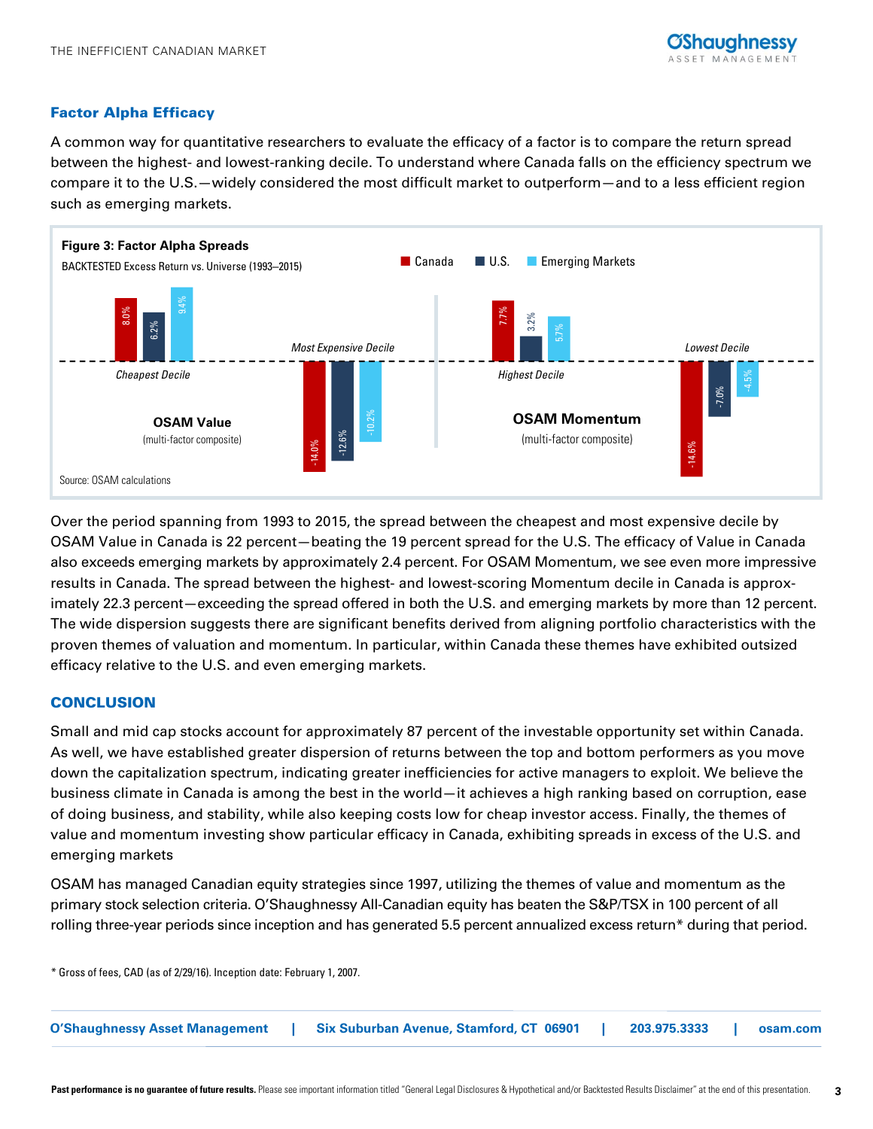# Factor Alpha Efficacy

A common way for quantitative researchers to evaluate the efficacy of a factor is to compare the return spread between the highest- and lowest-ranking decile. To understand where Canada falls on the efficiency spectrum we compare it to the U.S.—widely considered the most difficult market to outperform—and to a less efficient region such as emerging markets.



Over the period spanning from 1993 to 2015, the spread between the cheapest and most expensive decile by OSAM Value in Canada is 22 percent—beating the 19 percent spread for the U.S. The efficacy of Value in Canada also exceeds emerging markets by approximately 2.4 percent. For OSAM Momentum, we see even more impressive results in Canada. The spread between the highest- and lowest-scoring Momentum decile in Canada is approximately 22.3 percent—exceeding the spread offered in both the U.S. and emerging markets by more than 12 percent. The wide dispersion suggests there are significant benefits derived from aligning portfolio characteristics with the proven themes of valuation and momentum. In particular, within Canada these themes have exhibited outsized efficacy relative to the U.S. and even emerging markets.

# **CONCLUSION**

Small and mid cap stocks account for approximately 87 percent of the investable opportunity set within Canada. As well, we have established greater dispersion of returns between the top and bottom performers as you move down the capitalization spectrum, indicating greater inefficiencies for active managers to exploit. We believe the business climate in Canada is among the best in the world—it achieves a high ranking based on corruption, ease of doing business, and stability, while also keeping costs low for cheap investor access. Finally, the themes of value and momentum investing show particular efficacy in Canada, exhibiting spreads in excess of the U.S. and emerging markets

OSAM has managed Canadian equity strategies since 1997, utilizing the themes of value and momentum as the primary stock selection criteria. O'Shaughnessy All-Canadian equity has beaten the S&P/TSX in 100 percent of all rolling three-year periods since inception and has generated 5.5 percent annualized excess return\* during that period.

\* Gross of fees, CAD (as of 2/29/16). Inception date: February 1, 2007.

**O'Shaughnessy Asset Management | Six Suburban Avenue, Stamford, CT 06901 | 203.975.3333 | osam.com**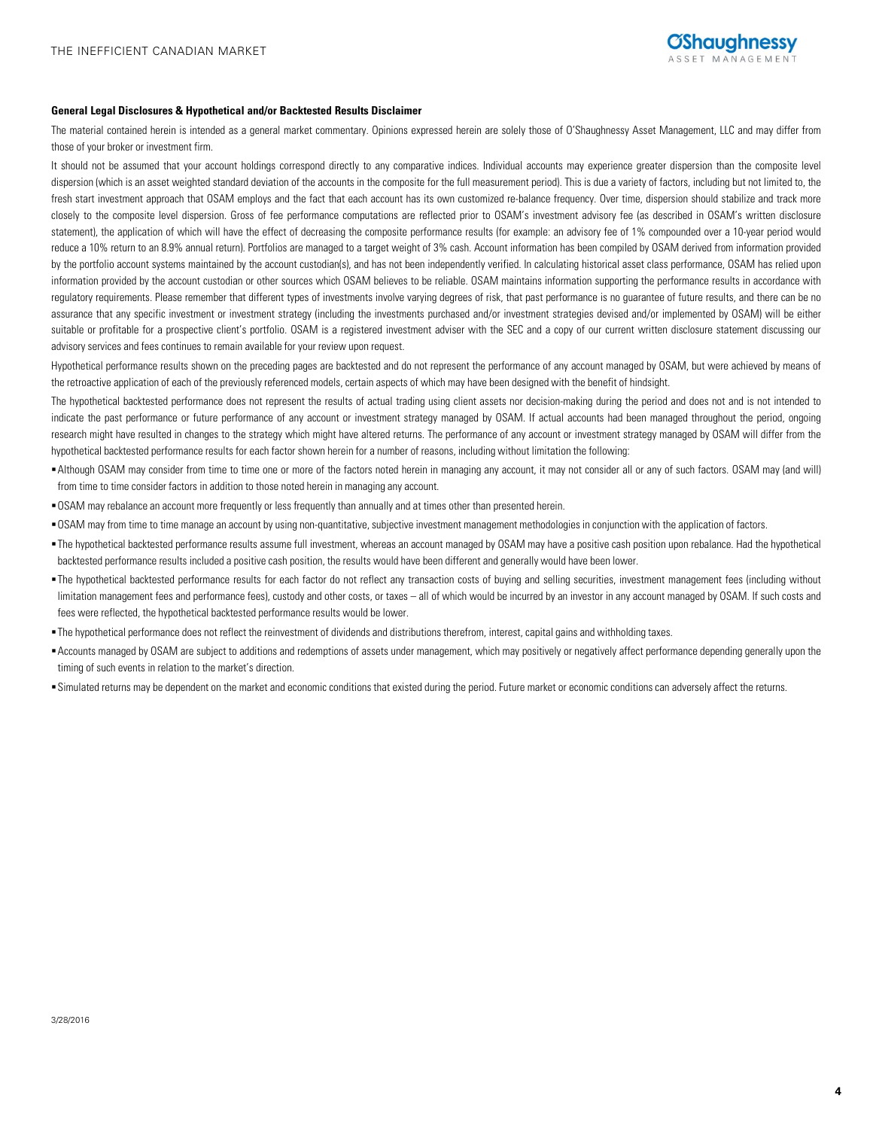#### **General Legal Disclosures & Hypothetical and/or Backtested Results Disclaimer**

The material contained herein is intended as a general market commentary. Opinions expressed herein are solely those of O'Shaughnessy Asset Management, LLC and may differ from those of your broker or investment firm.

It should not be assumed that your account holdings correspond directly to any comparative indices. Individual accounts may experience greater dispersion than the composite level dispersion (which is an asset weighted standard deviation of the accounts in the composite for the full measurement period). This is due a variety of factors, including but not limited to, the fresh start investment approach that OSAM employs and the fact that each account has its own customized re-balance frequency. Over time, dispersion should stabilize and track more closely to the composite level dispersion. Gross of fee performance computations are reflected prior to OSAM's investment advisory fee (as described in OSAM's written disclosure statement), the application of which will have the effect of decreasing the composite performance results (for example: an advisory fee of 1% compounded over a 10-year period would reduce a 10% return to an 8.9% annual return). Portfolios are managed to a target weight of 3% cash. Account information has been compiled by OSAM derived from information provided by the portfolio account systems maintained by the account custodian(s), and has not been independently verified. In calculating historical asset class performance, OSAM has relied upon information provided by the account custodian or other sources which OSAM believes to be reliable. OSAM maintains information supporting the performance results in accordance with regulatory requirements. Please remember that different types of investments involve varying degrees of risk, that past performance is no guarantee of future results, and there can be no assurance that any specific investment or investment strategy (including the investments purchased and/or investment strategies devised and/or implemented by OSAM) will be either suitable or profitable for a prospective client's portfolio. OSAM is a registered investment adviser with the SEC and a copy of our current written disclosure statement discussing our advisory services and fees continues to remain available for your review upon request.

Hypothetical performance results shown on the preceding pages are backtested and do not represent the performance of any account managed by OSAM, but were achieved by means of the retroactive application of each of the previously referenced models, certain aspects of which may have been designed with the benefit of hindsight.

The hypothetical backtested performance does not represent the results of actual trading using client assets nor decision-making during the period and does not and is not intended to indicate the past performance or future performance of any account or investment strategy managed by OSAM. If actual accounts had been managed throughout the period, ongoing research might have resulted in changes to the strategy which might have altered returns. The performance of any account or investment strategy managed by OSAM will differ from the hypothetical backtested performance results for each factor shown herein for a number of reasons, including without limitation the following:

- Although OSAM may consider from time to time one or more of the factors noted herein in managing any account, it may not consider all or any of such factors. OSAM may (and will) from time to time consider factors in addition to those noted herein in managing any account.
- OSAM may rebalance an account more frequently or less frequently than annually and at times other than presented herein.
- OSAM may from time to time manage an account by using non-quantitative, subjective investment management methodologies in conjunction with the application of factors.
- The hypothetical backtested performance results assume full investment, whereas an account managed by OSAM may have a positive cash position upon rebalance. Had the hypothetical backtested performance results included a positive cash position, the results would have been different and generally would have been lower.
- The hypothetical backtested performance results for each factor do not reflect any transaction costs of buying and selling securities, investment management fees (including without limitation management fees and performance fees), custody and other costs, or taxes - all of which would be incurred by an investor in any account managed by OSAM. If such costs and fees were reflected, the hypothetical backtested performance results would be lower.
- The hypothetical performance does not reflect the reinvestment of dividends and distributions therefrom, interest, capital gains and withholding taxes.
- Accounts managed by OSAM are subject to additions and redemptions of assets under management, which may positively or negatively affect performance depending generally upon the timing of such events in relation to the market's direction.
- Simulated returns may be dependent on the market and economic conditions that existed during the period. Future market or economic conditions can adversely affect the returns.